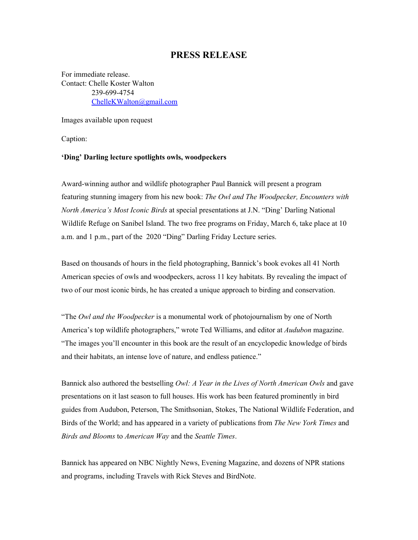## **PRESS RELEASE**

For immediate release. Contact: Chelle Koster Walton 239-699-4754 [ChelleKWalton@gmail.com](mailto:ChelleKWalton@gmail.com)

Images available upon request

Caption:

## **'Ding' Darling lecture spotlights owls, woodpeckers**

Award-winning author and wildlife photographer Paul Bannick will present a program featuring stunning imagery from his new book: *The Owl and The Woodpecker, Encounters with North America's Most Iconic Birds* at special presentations at J.N. "Ding' Darling National Wildlife Refuge on Sanibel Island. The two free programs on Friday, March 6, take place at 10 a.m. and 1 p.m., part of the 2020 "Ding" Darling Friday Lecture series.

Based on thousands of hours in the field photographing, Bannick's book evokes all 41 North American species of owls and woodpeckers, across 11 key habitats. By revealing the impact of two of our most iconic birds, he has created a unique approach to birding and conservation.

"The *Owl and the Woodpecker* is a monumental work of photojournalism by one of North America's top wildlife photographers," wrote Ted Williams, and editor at *Audubon* magazine. "The images you'll encounter in this book are the result of an encyclopedic knowledge of birds and their habitats, an intense love of nature, and endless patience."

Bannick also authored the bestselling *Owl: A Year in the Lives of North American Owls* and gave presentations on it last season to full houses. His work has been featured prominently in bird guides from Audubon, Peterson, The Smithsonian, Stokes, The National Wildlife Federation, and Birds of the World; and has appeared in a variety of publications from *The New York Times* and *Birds and Blooms* to *American Way* and the *Seattle Times*.

Bannick has appeared on NBC Nightly News, Evening Magazine, and dozens of NPR stations and programs, including Travels with Rick Steves and BirdNote.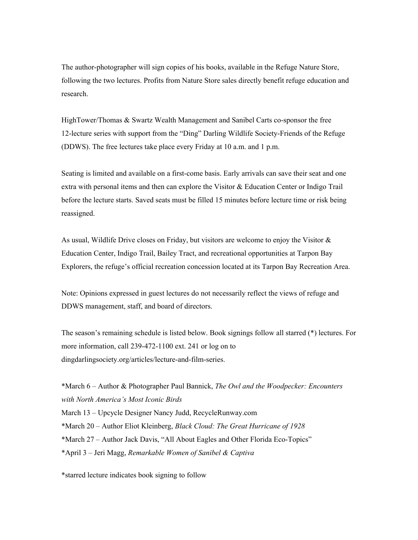The author-photographer will sign copies of his books, available in the Refuge Nature Store, following the two lectures. Profits from Nature Store sales directly benefit refuge education and research.

HighTower/Thomas & Swartz Wealth Management and Sanibel Carts co-sponsor the free 12-lecture series with support from the "Ding" Darling Wildlife Society-Friends of the Refuge (DDWS). The free lectures take place every Friday at 10 a.m. and 1 p.m.

Seating is limited and available on a first-come basis. Early arrivals can save their seat and one extra with personal items and then can explore the Visitor & Education Center or Indigo Trail before the lecture starts. Saved seats must be filled 15 minutes before lecture time or risk being reassigned.

As usual, Wildlife Drive closes on Friday, but visitors are welcome to enjoy the Visitor  $\&$ Education Center, Indigo Trail, Bailey Tract, and recreational opportunities at Tarpon Bay Explorers, the refuge's official recreation concession located at its Tarpon Bay Recreation Area.

Note: Opinions expressed in guest lectures do not necessarily reflect the views of refuge and DDWS management, staff, and board of directors.

The season's remaining schedule is listed below. Book signings follow all starred (\*) lectures. For more information, call 239-472-1100 ext. 241 or log on to dingdarlingsociety.org/articles/lecture-and-film-series.

\*March 6 – Author & Photographer Paul Bannick, *The Owl and the Woodpecker: Encounters with North America's Most Iconic Birds* March 13 – Upcycle Designer Nancy Judd, RecycleRunway.com \*March 20 – Author Eliot Kleinberg, *Black Cloud: The Great Hurricane of 1928* \*March 27 – Author Jack Davis, "All About Eagles and Other Florida Eco-Topics" \*April 3 – Jeri Magg, *Remarkable Women of Sanibel & Captiva*

\*starred lecture indicates book signing to follow